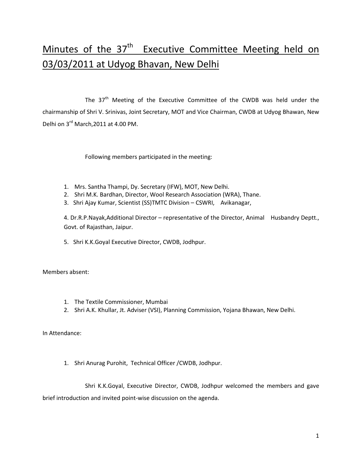# Minutes of the 37<sup>th</sup> Executive Committee Meeting held on 03/03/2011 at Udyog Bhavan, New Delhi

The 37<sup>th</sup> Meeting of the Executive Committee of the CWDB was held under the chairmanship of Shri V. Srinivas, Joint Secretary, MOT and Vice Chairman, CWDB at Udyog Bhawan, New Delhi on 3<sup>rd</sup> March, 2011 at 4.00 PM.

Following members participated in the meeting:

- 1. Mrs. Santha Thampi, Dy. Secretary (IFW), MOT, New Delhi.
- 2. Shri M.K. Bardhan, Director, Wool Research Association (WRA), Thane.
- 3. Shri Ajay Kumar, Scientist (SS)TMTC Division CSWRI, Avikanagar,

4. Dr.R.P.Nayak,Additional Director – representative of the Director, Animal Husbandry Deptt., Govt. of Rajasthan, Jaipur.

5. Shri K.K.Goyal Executive Director, CWDB, Jodhpur.

Members absent:

- 1. The Textile Commissioner, Mumbai
- 2. Shri A.K. Khullar, Jt. Adviser (VSI), Planning Commission, Yojana Bhawan, New Delhi.

In Attendance:

1. Shri Anurag Purohit, Technical Officer /CWDB, Jodhpur.

 Shri K.K.Goyal, Executive Director, CWDB, Jodhpur welcomed the members and gave brief introduction and invited point-wise discussion on the agenda.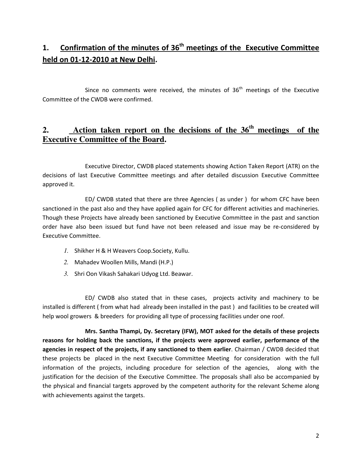# 1. Confirmation of the minutes of 36<sup>th</sup> meetings of the Executive Committee held on 01-12-2010 at New Delhi.

Since no comments were received, the minutes of  $36<sup>th</sup>$  meetings of the Executive Committee of the CWDB were confirmed.

### **2. Action taken report on the decisions of the 36th meetings of the Executive Committee of the Board.**

 Executive Director, CWDB placed statements showing Action Taken Report (ATR) on the decisions of last Executive Committee meetings and after detailed discussion Executive Committee approved it.

 ED/ CWDB stated that there are three Agencies ( as under ) for whom CFC have been sanctioned in the past also and they have applied again for CFC for different activities and machineries. Though these Projects have already been sanctioned by Executive Committee in the past and sanction order have also been issued but fund have not been released and issue may be re-considered by Executive Committee.

- *1.* Shikher H & H Weavers Coop.Society, Kullu.
- *2.* Mahadev Woollen Mills, Mandi (H.P.)
- *3.* Shri Oon Vikash Sahakari Udyog Ltd. Beawar.

 ED/ CWDB also stated that in these cases, projects activity and machinery to be installed is different ( from what had already been installed in the past ) and facilities to be created will help wool growers & breeders for providing all type of processing facilities under one roof.

 Mrs. Santha Thampi, Dy. Secretary (IFW), MOT asked for the details of these projects reasons for holding back the sanctions, if the projects were approved earlier, performance of the agencies in respect of the projects, if any sanctioned to them earlier. Chairman / CWDB decided that these projects be placed in the next Executive Committee Meeting for consideration with the full information of the projects, including procedure for selection of the agencies, along with the justification for the decision of the Executive Committee. The proposals shall also be accompanied by the physical and financial targets approved by the competent authority for the relevant Scheme along with achievements against the targets.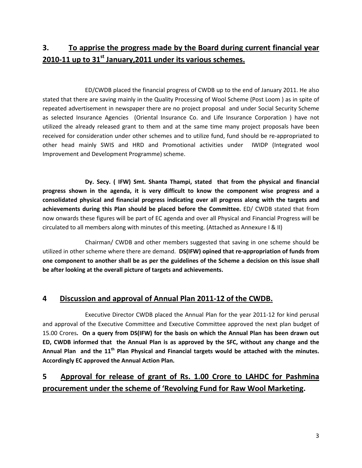## 3. To apprise the progress made by the Board during current financial year 2010-11 up to  $31<sup>st</sup>$  January, 2011 under its various schemes.

 ED/CWDB placed the financial progress of CWDB up to the end of January 2011. He also stated that there are saving mainly in the Quality Processing of Wool Scheme (Post Loom ) as in spite of repeated advertisement in newspaper there are no project proposal and under Social Security Scheme as selected Insurance Agencies (Oriental Insurance Co. and Life Insurance Corporation ) have not utilized the already released grant to them and at the same time many project proposals have been received for consideration under other schemes and to utilize fund, fund should be re-appropriated to other head mainly SWIS and HRD and Promotional activities under IWIDP (Integrated wool Improvement and Development Programme) scheme.

 Dy. Secy. ( IFW) Smt. Shanta Thampi, stated that from the physical and financial progress shown in the agenda, it is very difficult to know the component wise progress and a consolidated physical and financial progress indicating over all progress along with the targets and achievements during this Plan should be placed before the Committee. ED/ CWDB stated that from now onwards these figures will be part of EC agenda and over all Physical and Financial Progress will be circulated to all members along with minutes of this meeting. (Attached as Annexure I & II)

 Chairman/ CWDB and other members suggested that saving in one scheme should be utilized in other scheme where there are demand. DS(IFW) opined that re-appropriation of funds from one component to another shall be as per the guidelines of the Scheme a decision on this issue shall be after looking at the overall picture of targets and achievements.

#### 4 Discussion and approval of Annual Plan 2011-12 of the CWDB.

 Executive Director CWDB placed the Annual Plan for the year 2011-12 for kind perusal and approval of the Executive Committee and Executive Committee approved the next plan budget of 15.00 Crores. On a query from DS(IFW) for the basis on which the Annual Plan has been drawn out ED, CWDB informed that the Annual Plan is as approved by the SFC, without any change and the Annual Plan and the  $11<sup>th</sup>$  Plan Physical and Financial targets would be attached with the minutes. Accordingly EC approved the Annual Action Plan.

### 5 Approval for release of grant of Rs. 1.00 Crore to LAHDC for Pashmina procurement under the scheme of 'Revolving Fund for Raw Wool Marketing.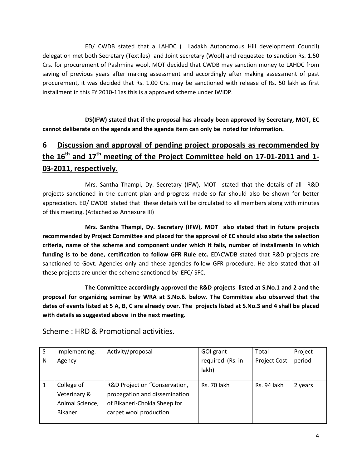ED/ CWDB stated that a LAHDC ( Ladakh Autonomous Hill development Council) delegation met both Secretary (Textiles) and Joint secretary (Wool) and requested to sanction Rs. 1.50 Crs. for procurement of Pashmina wool. MOT decided that CWDB may sanction money to LAHDC from saving of previous years after making assessment and accordingly after making assessment of past procurement, it was decided that Rs. 1.00 Crs. may be sanctioned with release of Rs. 50 lakh as first installment in this FY 2010-11as this is a approved scheme under IWIDP.

 DS(IFW) stated that if the proposal has already been approved by Secretary, MOT, EC cannot deliberate on the agenda and the agenda item can only be noted for information.

# 6 Discussion and approval of pending project proposals as recommended by the 16<sup>th</sup> and 17<sup>th</sup> meeting of the Project Committee held on 17-01-2011 and 1-03-2011, respectively.

 Mrs. Santha Thampi, Dy. Secretary (IFW), MOT stated that the details of all R&D projects sanctioned in the current plan and progress made so far should also be shown for better appreciation. ED/ CWDB stated that these details will be circulated to all members along with minutes of this meeting. (Attached as Annexure III)

 Mrs. Santha Thampi, Dy. Secretary (IFW), MOT also stated that in future projects recommended by Project Committee and placed for the approval of EC should also state the selection criteria, name of the scheme and component under which it falls, number of installments in which funding is to be done, certification to follow GFR Rule etc. ED\CWDB stated that R&D projects are sanctioned to Govt. Agencies only and these agencies follow GFR procedure. He also stated that all these projects are under the scheme sanctioned by EFC/ SFC.

 The Committee accordingly approved the R&D projects listed at S.No.1 and 2 and the proposal for organizing seminar by WRA at S.No.6. below. The Committee also observed that the dates of events listed at 5 A, B, C are already over. The projects listed at S.No.3 and 4 shall be placed with details as suggested above in the next meeting.

| S | Implementing.   | Activity/proposal             | GOI grant        | Total               | Project |
|---|-----------------|-------------------------------|------------------|---------------------|---------|
| N | Agency          |                               | required (Rs. in | <b>Project Cost</b> | period  |
|   |                 |                               | lakh)            |                     |         |
|   |                 |                               |                  |                     |         |
|   | College of      | R&D Project on "Conservation, | Rs. 70 lakh      | Rs. 94 lakh         | 2 years |
|   | Veterinary &    | propagation and dissemination |                  |                     |         |
|   | Animal Science, | of Bikaneri-Chokla Sheep for  |                  |                     |         |
|   | Bikaner.        | carpet wool production        |                  |                     |         |
|   |                 |                               |                  |                     |         |

Scheme : HRD & Promotional activities.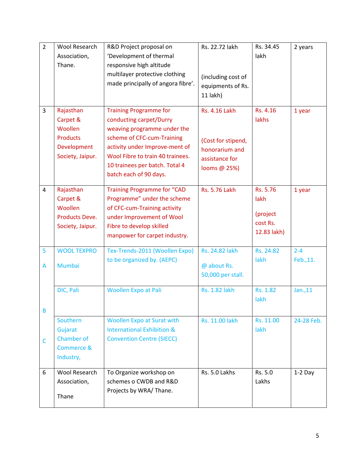| $\overline{2}$ | <b>Wool Research</b>  | R&D Project proposal on               | Rs. 22.72 lakh       | Rs. 34.45   | 2 years    |
|----------------|-----------------------|---------------------------------------|----------------------|-------------|------------|
|                | Association,          | 'Development of thermal               |                      | lakh        |            |
|                | Thane.                | responsive high altitude              |                      |             |            |
|                |                       | multilayer protective clothing        | (including cost of   |             |            |
|                |                       | made principally of angora fibre'.    | equipments of Rs.    |             |            |
|                |                       |                                       | 11 lakh)             |             |            |
|                |                       |                                       |                      |             |            |
| $\overline{3}$ | Rajasthan             | <b>Training Programme for</b>         | <b>Rs. 4.16 Lakh</b> | Rs. 4.16    | 1 year     |
|                | Carpet &              | conducting carpet/Durry               |                      | lakhs       |            |
|                | Woollen               | weaving programme under the           |                      |             |            |
|                | <b>Products</b>       | scheme of CFC-cum-Training            | (Cost for stipend,   |             |            |
|                | Development           | activity under Improve-ment of        | honorarium and       |             |            |
|                | Society, Jaipur.      | Wool Fibre to train 40 trainees.      | assistance for       |             |            |
|                |                       | 10 trainees per batch. Total 4        | looms @ 25%)         |             |            |
|                |                       | batch each of 90 days.                |                      |             |            |
| $\overline{4}$ | Rajasthan             | <b>Training Programme for "CAD</b>    | <b>Rs. 5.76 Lakh</b> | Rs. 5.76    |            |
|                |                       | Programme" under the scheme           |                      | lakh        | 1 year     |
|                | Carpet &<br>Woollen   | of CFC-cum-Training activity          |                      |             |            |
|                | Products Deve.        | under Improvement of Wool             |                      | (project    |            |
|                | Society, Jaipur.      | Fibre to develop skilled              |                      | cost Rs.    |            |
|                |                       | manpower for carpet industry.         |                      | 12.83 lakh) |            |
|                |                       |                                       |                      |             |            |
| 5              | <b>WOOL TEXPRO</b>    | Tex-Trends-2011 (Woollen Expo)        | Rs. 24.82 lakh       | Rs. 24.82   | $2 - 4$    |
|                |                       | to be organized by. (AEPC)            |                      | lakh        | Feb., 11.  |
| A              | <b>Mumbai</b>         |                                       | @ about Rs.          |             |            |
|                |                       |                                       | 50,000 per stall.    |             |            |
|                | DIC, Pali             | <b>Woollen Expo at Pali</b>           | Rs. 1.82 lakh        | Rs. 1.82    | Jan.,11    |
|                |                       |                                       |                      | lakh        |            |
| B              |                       |                                       |                      |             |            |
|                | Southern              | <b>Woollen Expo at Surat with</b>     | Rs. 11.00 lakh       | Rs. 11.00   | 24-28 Feb. |
|                | Gujarat               | <b>International Exhibition &amp;</b> |                      | lakh        |            |
| $\mathsf{C}$   | <b>Chamber of</b>     | <b>Convention Centre (SIECC)</b>      |                      |             |            |
|                | <b>Commerce &amp;</b> |                                       |                      |             |            |
|                | Industry,             |                                       |                      |             |            |
|                |                       |                                       |                      |             |            |
| 6              | Wool Research         | To Organize workshop on               | Rs. 5.0 Lakhs        | Rs. 5.0     | $1-2$ Day  |
|                | Association,          | schemes o CWDB and R&D                |                      | Lakhs       |            |
|                | Thane                 | Projects by WRA/ Thane.               |                      |             |            |
|                |                       |                                       |                      |             |            |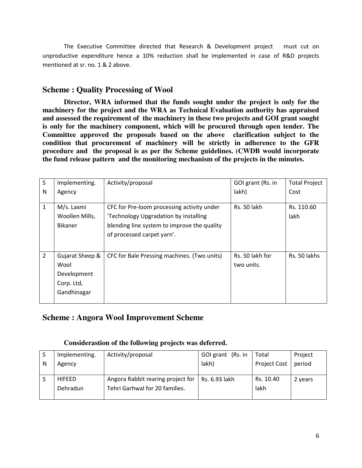The Executive Committee directed that Research & Development project must cut on unproductive expenditure hence a 10% reduction shall be implemented in case of R&D projects mentioned at sr. no. 1 & 2 above.

#### **Scheme : Quality Processing of Wool**

**Director, WRA informed that the funds sought under the project is only for the machinery for the project and the WRA as Technical Evaluation authority has appraised and assessed the requirement of the machinery in these two projects and GOI grant sought is only for the machinery component, which will be procured through open tender. The Committee approved the proposals based on the above clarification subject to the condition that procurement of machinery will be strictly in adherence to the GFR procedure and the proposal is as per the Scheme guidelines. (CWDB would incorporate the fund release pattern and the monitoring mechanism of the projects in the minutes.** 

| S              | Implementing.   | Activity/proposal                           | GOI grant (Rs. in | <b>Total Project</b> |
|----------------|-----------------|---------------------------------------------|-------------------|----------------------|
| N              | Agency          |                                             | lakh)             | Cost                 |
|                |                 |                                             |                   |                      |
| 1              | M/s. Laxmi      | CFC for Pre-loom processing activity under  | Rs. 50 lakh       | Rs. 110.60           |
|                | Woollen Mills,  | 'Technology Upgradation by installing       |                   | lakh                 |
|                | <b>Bikaner</b>  | blending line system to improve the quality |                   |                      |
|                |                 | of processed carpet yarn'.                  |                   |                      |
|                |                 |                                             |                   |                      |
|                |                 |                                             |                   |                      |
| $\overline{2}$ | Gujarat Sheep & | CFC for Bale Pressing machines. (Two units) | Rs. 50 lakh for   | Rs. 50 lakhs         |
|                | Wool            |                                             | two units.        |                      |
|                | Development     |                                             |                   |                      |
|                | Corp. Ltd,      |                                             |                   |                      |
|                | Gandhinagar     |                                             |                   |                      |
|                |                 |                                             |                   |                      |

#### **Scheme : Angora Wool Improvement Scheme**

#### **Considerastion of the following projects was deferred.**

|   | Implementing. | Activity/proposal                 | GOI grant (Rs. in | Total        | Project |
|---|---------------|-----------------------------------|-------------------|--------------|---------|
| N | Agency        |                                   | lakh)             | Project Cost | period  |
|   |               |                                   |                   |              |         |
|   | <b>HIFEED</b> | Angora Rabbit rearing project for | Rs. 6.93 lakh     | Rs. 10.40    | 2 years |
|   | Dehradun      | Tehri Garhwal for 20 families.    |                   | lakh         |         |
|   |               |                                   |                   |              |         |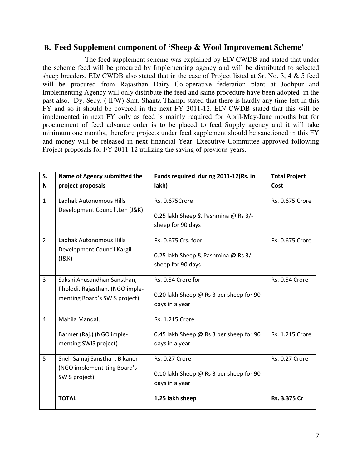#### **B. Feed Supplement component of 'Sheep & Wool Improvement Scheme'**

 The feed supplement scheme was explained by ED/ CWDB and stated that under the scheme feed will be procured by Implementing agency and will be distributed to selected sheep breeders. ED/ CWDB also stated that in the case of Project listed at Sr. No. 3, 4 & 5 feed will be procured from Rajasthan Dairy Co-operative federation plant at Jodhpur and Implementing Agency will only distribute the feed and same procedure have been adopted in the past also. Dy. Secy. ( IFW) Smt. Shanta Thampi stated that there is hardly any time left in this FY and so it should be covered in the next FY 2011-12. ED/ CWDB stated that this will be implemented in next FY only as feed is mainly required for April-May-June months but for procurement of feed advance order is to be placed to feed Supply agency and it will take minimum one months, therefore projects under feed supplement should be sanctioned in this FY and money will be released in next financial Year. Executive Committee approved following Project proposals for FY 2011-12 utilizing the saving of previous years.

| S.             | Name of Agency submitted the                                                                    | Funds required during 2011-12(Rs. in                                               | <b>Total Project</b>  |
|----------------|-------------------------------------------------------------------------------------------------|------------------------------------------------------------------------------------|-----------------------|
| N              | project proposals                                                                               | lakh)                                                                              | Cost                  |
| $\mathbf{1}$   | Ladhak Autonomous Hills<br>Development Council, Leh (J&K)                                       | Rs. 0.675Crore<br>0.25 lakh Sheep & Pashmina @ Rs 3/-<br>sheep for 90 days         | Rs. 0.675 Crore       |
| $\overline{2}$ | Ladhak Autonomous Hills<br>Development Council Kargil<br>(J&K)                                  | Rs. 0.675 Crs. foor<br>0.25 lakh Sheep & Pashmina @ Rs 3/-<br>sheep for 90 days    | Rs. 0.675 Crore       |
| $\overline{3}$ | Sakshi Anusandhan Sansthan,<br>Pholodi, Rajasthan. (NGO imple-<br>menting Board's SWIS project) | Rs. 0.54 Crore for<br>0.20 lakh Sheep @ Rs 3 per sheep for 90<br>days in a year    | <b>Rs. 0.54 Crore</b> |
| $\overline{4}$ | Mahila Mandal,<br>Barmer (Raj.) (NGO imple-<br>menting SWIS project)                            | Rs. 1.215 Crore<br>0.45 lakh Sheep @ Rs 3 per sheep for 90<br>days in a year       | Rs. 1.215 Crore       |
| 5              | Sneh Samaj Sansthan, Bikaner<br>(NGO implement-ting Board's<br>SWIS project)                    | <b>Rs. 0.27 Crore</b><br>0.10 lakh Sheep @ Rs 3 per sheep for 90<br>days in a year | <b>Rs. 0.27 Crore</b> |
|                | <b>TOTAL</b>                                                                                    | 1.25 lakh sheep                                                                    | Rs. 3.375 Cr          |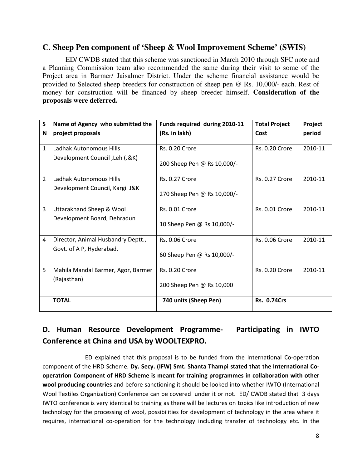#### **C. Sheep Pen component of 'Sheep & Wool Improvement Scheme' (SWIS)**

 ED/ CWDB stated that this scheme was sanctioned in March 2010 through SFC note and a Planning Commission team also recommended the same during their visit to some of the Project area in Barmer/ Jaisalmer District. Under the scheme financial assistance would be provided to Selected sheep breeders for construction of sheep pen @ Rs. 10,000/- each. Rest of money for construction will be financed by sheep breeder himself. **Consideration of the proposals were deferred.** 

| S              | Name of Agency who submitted the                               | Funds required during 2010-11                        | <b>Total Project</b>  | Project |
|----------------|----------------------------------------------------------------|------------------------------------------------------|-----------------------|---------|
| N              | project proposals                                              | (Rs. in lakh)                                        | Cost                  | period  |
| 1              | Ladhak Autonomous Hills<br>Development Council, Leh (J&K)      | <b>Rs. 0.20 Crore</b><br>200 Sheep Pen @ Rs 10,000/- | <b>Rs. 0.20 Crore</b> | 2010-11 |
| $\overline{2}$ | Ladhak Autonomous Hills<br>Development Council, Kargil J&K     | <b>Rs. 0.27 Crore</b><br>270 Sheep Pen @ Rs 10,000/- | <b>Rs. 0.27 Crore</b> | 2010-11 |
| 3              | Uttarakhand Sheep & Wool<br>Development Board, Dehradun        | <b>Rs. 0.01 Crore</b><br>10 Sheep Pen @ Rs 10,000/-  | <b>Rs. 0.01 Crore</b> | 2010-11 |
| $\overline{4}$ | Director, Animal Husbandry Deptt.,<br>Govt. of A P, Hyderabad. | <b>Rs. 0.06 Crore</b><br>60 Sheep Pen @ Rs 10,000/-  | <b>Rs. 0.06 Crore</b> | 2010-11 |
| 5              | Mahila Mandal Barmer, Agor, Barmer<br>(Rajasthan)              | <b>Rs. 0.20 Crore</b><br>200 Sheep Pen @ Rs 10,000   | <b>Rs. 0.20 Crore</b> | 2010-11 |
|                | <b>TOTAL</b>                                                   | 740 units (Sheep Pen)                                | <b>Rs. 0.74Crs</b>    |         |

# D. Human Resource Development Programme- Participating in IWTO Conference at China and USA by WOOLTEXPRO.

 ED explained that this proposal is to be funded from the International Co-operation component of the HRD Scheme. Dy. Secy. (IFW) Smt. Shanta Thampi stated that the International Cooperatrion Component of HRD Scheme is meant for training programmes in collaboration with other wool producing countries and before sanctioning it should be looked into whether IWTO (International Wool Textiles Organization) Conference can be covered under it or not. ED/ CWDB stated that 3 days IWTO conference is very identical to training as there will be lectures on topics like introduction of new technology for the processing of wool, possibilities for development of technology in the area where it requires, international co-operation for the technology including transfer of technology etc. In the